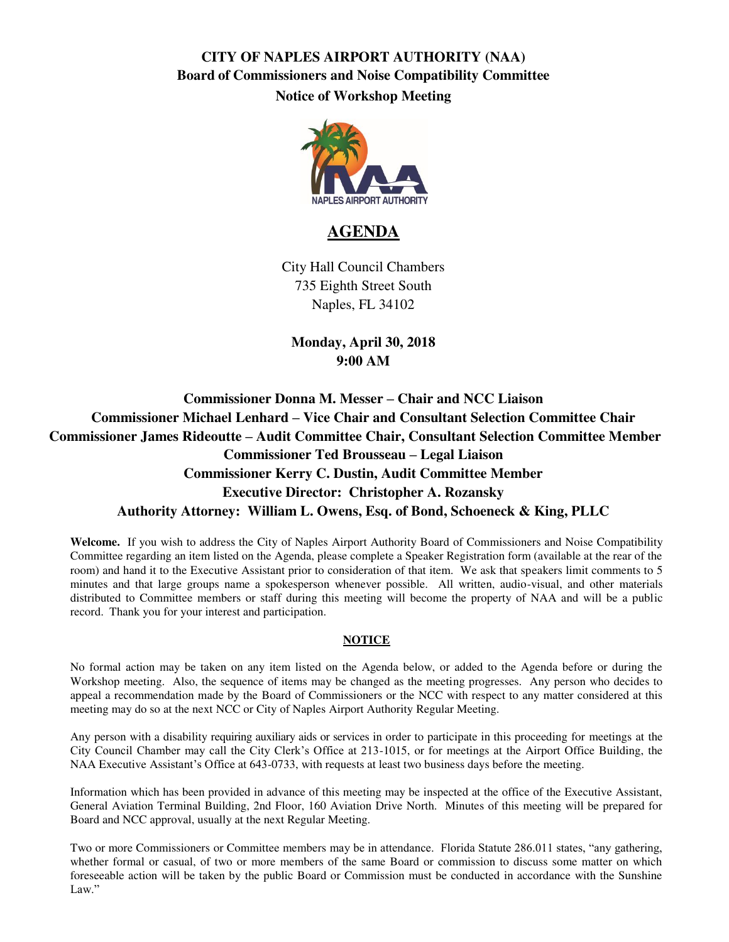# **CITY OF NAPLES AIRPORT AUTHORITY (NAA) Board of Commissioners and Noise Compatibility Committee Notice of Workshop Meeting**



#### **AGENDA**

City Hall Council Chambers 735 Eighth Street South Naples, FL 34102

**Monday, April 30, 2018 9:00 AM** 

**Commissioner Donna M. Messer – Chair and NCC Liaison Commissioner Michael Lenhard – Vice Chair and Consultant Selection Committee Chair Commissioner James Rideoutte – Audit Committee Chair, Consultant Selection Committee Member Commissioner Ted Brousseau – Legal Liaison Commissioner Kerry C. Dustin, Audit Committee Member Executive Director: Christopher A. Rozansky Authority Attorney: William L. Owens, Esq. of Bond, Schoeneck & King, PLLC** 

**Welcome.** If you wish to address the City of Naples Airport Authority Board of Commissioners and Noise Compatibility Committee regarding an item listed on the Agenda, please complete a Speaker Registration form (available at the rear of the room) and hand it to the Executive Assistant prior to consideration of that item. We ask that speakers limit comments to 5 minutes and that large groups name a spokesperson whenever possible. All written, audio-visual, and other materials distributed to Committee members or staff during this meeting will become the property of NAA and will be a public record. Thank you for your interest and participation.

#### **NOTICE**

No formal action may be taken on any item listed on the Agenda below, or added to the Agenda before or during the Workshop meeting. Also, the sequence of items may be changed as the meeting progresses. Any person who decides to appeal a recommendation made by the Board of Commissioners or the NCC with respect to any matter considered at this meeting may do so at the next NCC or City of Naples Airport Authority Regular Meeting.

Any person with a disability requiring auxiliary aids or services in order to participate in this proceeding for meetings at the City Council Chamber may call the City Clerk's Office at 213-1015, or for meetings at the Airport Office Building, the NAA Executive Assistant's Office at 643-0733, with requests at least two business days before the meeting.

Information which has been provided in advance of this meeting may be inspected at the office of the Executive Assistant, General Aviation Terminal Building, 2nd Floor, 160 Aviation Drive North. Minutes of this meeting will be prepared for Board and NCC approval, usually at the next Regular Meeting.

Two or more Commissioners or Committee members may be in attendance. Florida Statute 286.011 states, "any gathering, whether formal or casual, of two or more members of the same Board or commission to discuss some matter on which foreseeable action will be taken by the public Board or Commission must be conducted in accordance with the Sunshine Law."